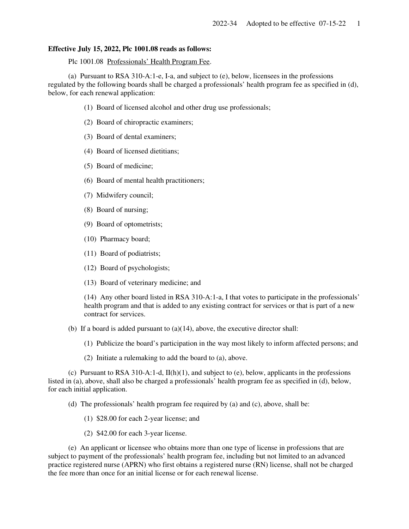## **Effective July 15, 2022, Plc 1001.08 reads as follows:**

Plc 1001.08 Professionals' Health Program Fee.

 (a) Pursuant to RSA 310-A:1-e, I-a, and subject to (e), below, licensees in the professions regulated by the following boards shall be charged a professionals' health program fee as specified in (d), below, for each renewal application:

- (1) Board of licensed alcohol and other drug use professionals;
- (2) Board of chiropractic examiners;
- (3) Board of dental examiners;
- (4) Board of licensed dietitians;
- (5) Board of medicine;
- (6) Board of mental health practitioners;
- (7) Midwifery council;
- (8) Board of nursing;
- (9) Board of optometrists;
- (10) Pharmacy board;
- (11) Board of podiatrists;
- (12) Board of psychologists;
- (13) Board of veterinary medicine; and

(14) Any other board listed in RSA 310-A:1-a, I that votes to participate in the professionals' health program and that is added to any existing contract for services or that is part of a new contract for services.

- (b) If a board is added pursuant to (a)(14), above, the executive director shall:
	- (1) Publicize the board's participation in the way most likely to inform affected persons; and
	- (2) Initiate a rulemaking to add the board to (a), above.

(c) Pursuant to RSA 310-A:1-d,  $II(h)(1)$ , and subject to (e), below, applicants in the professions listed in (a), above, shall also be charged a professionals' health program fee as specified in (d), below, for each initial application.

(d) The professionals' health program fee required by (a) and (c), above, shall be:

- (1) \$28.00 for each 2-year license; and
- (2) \$42.00 for each 3-year license.

 (e) An applicant or licensee who obtains more than one type of license in professions that are subject to payment of the professionals' health program fee, including but not limited to an advanced practice registered nurse (APRN) who first obtains a registered nurse (RN) license, shall not be charged the fee more than once for an initial license or for each renewal license.